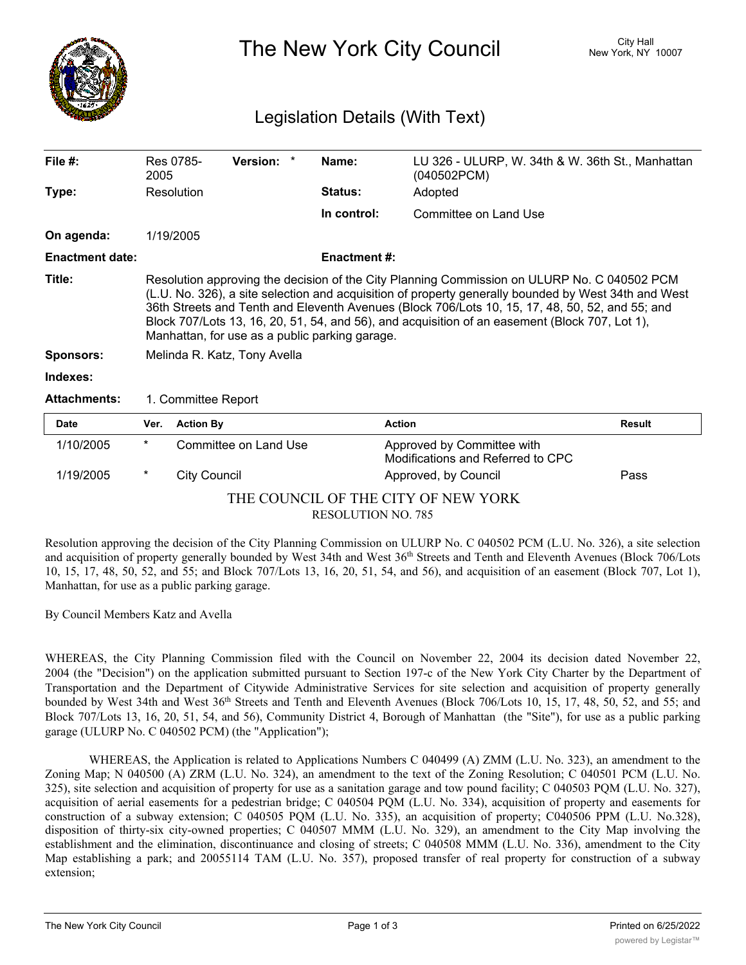

The New York City Council New York, NY 10007

## Legislation Details (With Text)

| File $#$ :                 | 2005                                                                                                                                                                                                                                                                                                                                                                                                                                                                                       | Res 0785-           | Version: *            | Name:               | LU 326 - ULURP, W. 34th & W. 36th St., Manhattan<br>(040502PCM) |               |
|----------------------------|--------------------------------------------------------------------------------------------------------------------------------------------------------------------------------------------------------------------------------------------------------------------------------------------------------------------------------------------------------------------------------------------------------------------------------------------------------------------------------------------|---------------------|-----------------------|---------------------|-----------------------------------------------------------------|---------------|
| Type:                      |                                                                                                                                                                                                                                                                                                                                                                                                                                                                                            | Resolution          |                       | <b>Status:</b>      | Adopted                                                         |               |
|                            |                                                                                                                                                                                                                                                                                                                                                                                                                                                                                            |                     |                       | In control:         | Committee on Land Use                                           |               |
| On agenda:                 |                                                                                                                                                                                                                                                                                                                                                                                                                                                                                            | 1/19/2005           |                       |                     |                                                                 |               |
| <b>Enactment date:</b>     |                                                                                                                                                                                                                                                                                                                                                                                                                                                                                            |                     |                       | <b>Enactment #:</b> |                                                                 |               |
| Title:<br><b>Sponsors:</b> | Resolution approving the decision of the City Planning Commission on ULURP No. C 040502 PCM<br>(L.U. No. 326), a site selection and acquisition of property generally bounded by West 34th and West<br>36th Streets and Tenth and Eleventh Avenues (Block 706/Lots 10, 15, 17, 48, 50, 52, and 55; and<br>Block 707/Lots 13, 16, 20, 51, 54, and 56), and acquisition of an easement (Block 707, Lot 1),<br>Manhattan, for use as a public parking garage.<br>Melinda R. Katz, Tony Avella |                     |                       |                     |                                                                 |               |
| Indexes:                   |                                                                                                                                                                                                                                                                                                                                                                                                                                                                                            |                     |                       |                     |                                                                 |               |
|                            |                                                                                                                                                                                                                                                                                                                                                                                                                                                                                            |                     |                       |                     |                                                                 |               |
| <b>Attachments:</b>        | 1. Committee Report                                                                                                                                                                                                                                                                                                                                                                                                                                                                        |                     |                       |                     |                                                                 |               |
| Date                       | Ver.                                                                                                                                                                                                                                                                                                                                                                                                                                                                                       | <b>Action By</b>    |                       | <b>Action</b>       |                                                                 | <b>Result</b> |
| 1/10/2005                  | $^\star$                                                                                                                                                                                                                                                                                                                                                                                                                                                                                   |                     | Committee on Land Use |                     | Approved by Committee with<br>Modifications and Referred to CPC |               |
| 1/19/2005                  | *                                                                                                                                                                                                                                                                                                                                                                                                                                                                                          | <b>City Council</b> |                       |                     | Approved, by Council                                            | Pass          |

## THE COUNCIL OF THE CITY OF NEW YORK RESOLUTION NO. 785

Resolution approving the decision of the City Planning Commission on ULURP No. C 040502 PCM (L.U. No. 326), a site selection and acquisition of property generally bounded by West 34th and West 36th Streets and Tenth and Eleventh Avenues (Block 706/Lots 10, 15, 17, 48, 50, 52, and 55; and Block 707/Lots 13, 16, 20, 51, 54, and 56), and acquisition of an easement (Block 707, Lot 1), Manhattan, for use as a public parking garage.

By Council Members Katz and Avella

WHEREAS, the City Planning Commission filed with the Council on November 22, 2004 its decision dated November 22, 2004 (the "Decision") on the application submitted pursuant to Section 197-c of the New York City Charter by the Department of Transportation and the Department of Citywide Administrative Services for site selection and acquisition of property generally bounded by West 34th and West 36<sup>th</sup> Streets and Tenth and Eleventh Avenues (Block 706/Lots 10, 15, 17, 48, 50, 52, and 55; and Block 707/Lots 13, 16, 20, 51, 54, and 56), Community District 4, Borough of Manhattan (the "Site"), for use as a public parking garage (ULURP No. C 040502 PCM) (the "Application");

WHEREAS, the Application is related to Applications Numbers C 040499 (A) ZMM (L.U. No. 323), an amendment to the Zoning Map; N 040500 (A) ZRM (L.U. No. 324), an amendment to the text of the Zoning Resolution; C 040501 PCM (L.U. No. 325), site selection and acquisition of property for use as a sanitation garage and tow pound facility; C 040503 PQM (L.U. No. 327), acquisition of aerial easements for a pedestrian bridge; C 040504 PQM (L.U. No. 334), acquisition of property and easements for construction of a subway extension; C 040505 PQM (L.U. No. 335), an acquisition of property; C040506 PPM (L.U. No.328), disposition of thirty-six city-owned properties; C 040507 MMM (L.U. No. 329), an amendment to the City Map involving the establishment and the elimination, discontinuance and closing of streets; C 040508 MMM (L.U. No. 336), amendment to the City Map establishing a park; and 20055114 TAM (L.U. No. 357), proposed transfer of real property for construction of a subway extension;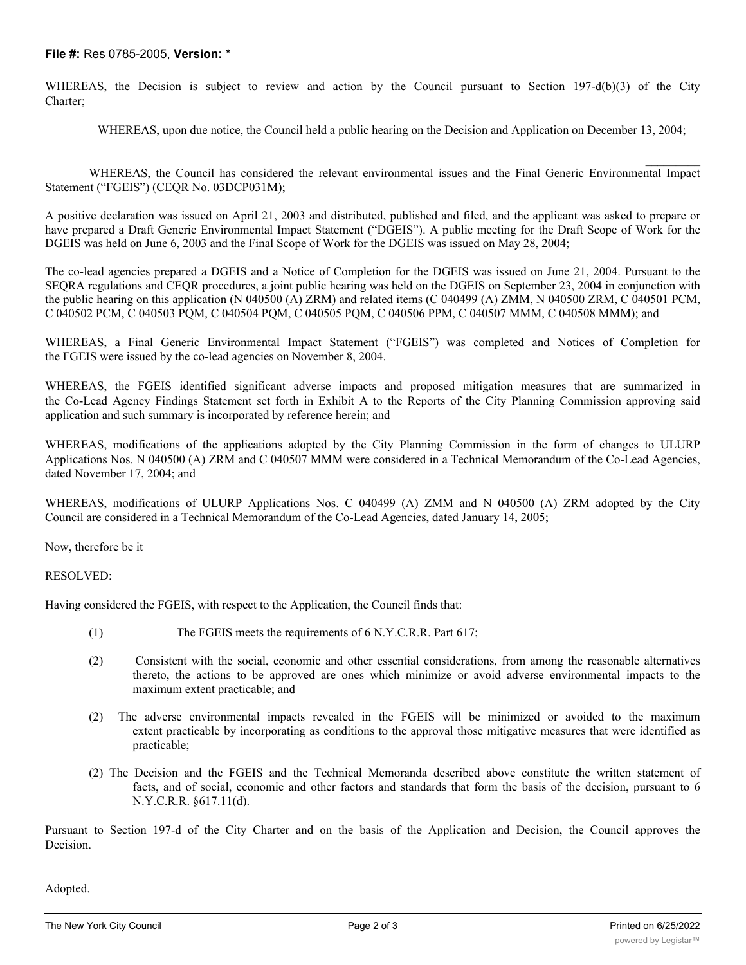WHEREAS, the Decision is subject to review and action by the Council pursuant to Section 197-d(b)(3) of the City Charter;

WHEREAS, upon due notice, the Council held a public hearing on the Decision and Application on December 13, 2004;

WHEREAS, the Council has considered the relevant environmental issues and the Final Generic Environmental Impact Statement ("FGEIS") (CEQR No. 03DCP031M);

A positive declaration was issued on April 21, 2003 and distributed, published and filed, and the applicant was asked to prepare or have prepared a Draft Generic Environmental Impact Statement ("DGEIS"). A public meeting for the Draft Scope of Work for the DGEIS was held on June 6, 2003 and the Final Scope of Work for the DGEIS was issued on May 28, 2004;

The co-lead agencies prepared a DGEIS and a Notice of Completion for the DGEIS was issued on June 21, 2004. Pursuant to the SEQRA regulations and CEQR procedures, a joint public hearing was held on the DGEIS on September 23, 2004 in conjunction with the public hearing on this application (N 040500 (A) ZRM) and related items (C 040499 (A) ZMM, N 040500 ZRM, C 040501 PCM, C 040502 PCM, C 040503 PQM, C 040504 PQM, C 040505 PQM, C 040506 PPM, C 040507 MMM, C 040508 MMM); and

WHEREAS, a Final Generic Environmental Impact Statement ("FGEIS") was completed and Notices of Completion for the FGEIS were issued by the co-lead agencies on November 8, 2004.

WHEREAS, the FGEIS identified significant adverse impacts and proposed mitigation measures that are summarized in the Co-Lead Agency Findings Statement set forth in Exhibit A to the Reports of the City Planning Commission approving said application and such summary is incorporated by reference herein; and

WHEREAS, modifications of the applications adopted by the City Planning Commission in the form of changes to ULURP Applications Nos. N 040500 (A) ZRM and C 040507 MMM were considered in a Technical Memorandum of the Co-Lead Agencies, dated November 17, 2004; and

WHEREAS, modifications of ULURP Applications Nos. C 040499 (A) ZMM and N 040500 (A) ZRM adopted by the City Council are considered in a Technical Memorandum of the Co-Lead Agencies, dated January 14, 2005;

Now, therefore be it

RESOLVED:

Having considered the FGEIS, with respect to the Application, the Council finds that:

- (1) The FGEIS meets the requirements of 6 N.Y.C.R.R. Part 617;
- (2) Consistent with the social, economic and other essential considerations, from among the reasonable alternatives thereto, the actions to be approved are ones which minimize or avoid adverse environmental impacts to the maximum extent practicable; and
- (2) The adverse environmental impacts revealed in the FGEIS will be minimized or avoided to the maximum extent practicable by incorporating as conditions to the approval those mitigative measures that were identified as practicable;
- (2) The Decision and the FGEIS and the Technical Memoranda described above constitute the written statement of facts, and of social, economic and other factors and standards that form the basis of the decision, pursuant to 6 N.Y.C.R.R. §617.11(d).

Pursuant to Section 197-d of the City Charter and on the basis of the Application and Decision, the Council approves the Decision.

Adopted.

 $\frac{1}{2}$